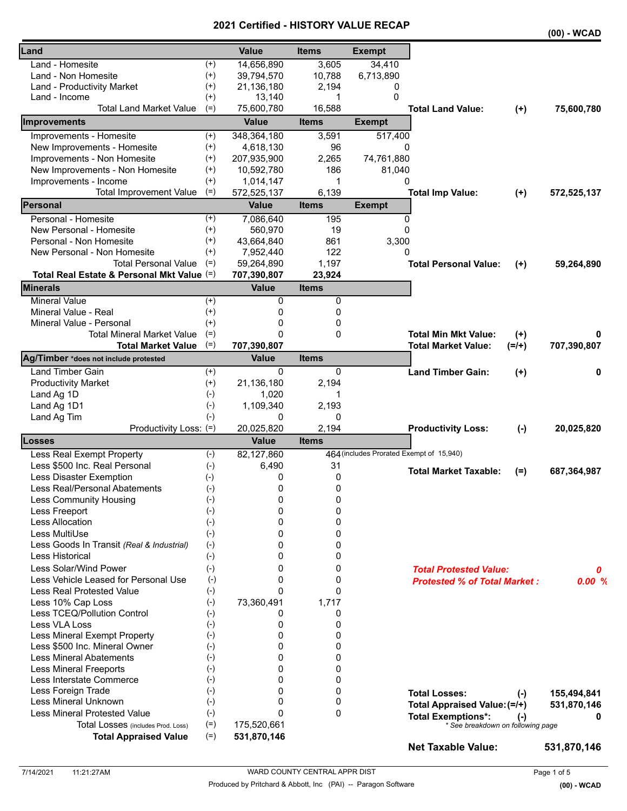### **2021 Certified - HISTORY VALUE RECAP**

|                                            |                    |              |              |                                          |                                                                |          | (00) - WCAD |
|--------------------------------------------|--------------------|--------------|--------------|------------------------------------------|----------------------------------------------------------------|----------|-------------|
| Land                                       |                    | <b>Value</b> | <b>Items</b> | <b>Exempt</b>                            |                                                                |          |             |
| Land - Homesite                            | $^{(+)}$           | 14,656,890   | 3,605        | 34,410                                   |                                                                |          |             |
| Land - Non Homesite                        | $^{(+)}$           | 39,794,570   | 10,788       | 6,713,890                                |                                                                |          |             |
| Land - Productivity Market                 | $^{(+)}$           | 21,136,180   | 2,194        | 0                                        |                                                                |          |             |
| Land - Income                              | $^{(+)}$           | 13,140       | 1            | $\Omega$                                 |                                                                |          |             |
| <b>Total Land Market Value</b>             | $(=)$              | 75,600,780   | 16,588       |                                          | <b>Total Land Value:</b>                                       | $(+)$    | 75,600,780  |
| Improvements                               |                    | <b>Value</b> | <b>Items</b> | <b>Exempt</b>                            |                                                                |          |             |
| Improvements - Homesite                    | $^{(+)}$           | 348,364,180  | 3,591        | 517,400                                  |                                                                |          |             |
| New Improvements - Homesite                | $^{(+)}$           | 4,618,130    | 96           | 0                                        |                                                                |          |             |
| Improvements - Non Homesite                | $^{(+)}$           | 207,935,900  | 2,265        | 74,761,880                               |                                                                |          |             |
| New Improvements - Non Homesite            | $^{(+)}$           | 10,592,780   | 186          | 81,040                                   |                                                                |          |             |
| Improvements - Income                      | $^{(+)}$           | 1,014,147    | 1            | 0                                        |                                                                |          |             |
| <b>Total Improvement Value</b>             | $(=)$              | 572,525,137  | 6,139        |                                          | <b>Total Imp Value:</b>                                        | $(+)$    | 572,525,137 |
| Personal                                   |                    | <b>Value</b> | <b>Items</b> | <b>Exempt</b>                            |                                                                |          |             |
| Personal - Homesite                        | $^{(+)}$           | 7,086,640    | 195          | 0                                        |                                                                |          |             |
| New Personal - Homesite                    | $^{(+)}$           | 560,970      | 19           | 0                                        |                                                                |          |             |
| Personal - Non Homesite                    | $^{(+)}$           | 43,664,840   | 861          | 3,300                                    |                                                                |          |             |
| New Personal - Non Homesite                | $^{(+)}$           | 7,952,440    | 122          | 0                                        |                                                                |          |             |
| <b>Total Personal Value</b>                | $(=)$              | 59,264,890   | 1,197        |                                          | <b>Total Personal Value:</b>                                   | $(+)$    | 59,264,890  |
| Total Real Estate & Personal Mkt Value (=) |                    | 707,390,807  | 23,924       |                                          |                                                                |          |             |
| Minerals                                   |                    | <b>Value</b> | <b>Items</b> |                                          |                                                                |          |             |
| <b>Mineral Value</b>                       | $^{(+)}$           | 0            | 0            |                                          |                                                                |          |             |
| Mineral Value - Real                       | $^{(+)}$           | 0            | 0            |                                          |                                                                |          |             |
| Mineral Value - Personal                   | $(+)$              | 0            | 0            |                                          |                                                                |          |             |
| Total Mineral Market Value                 | $(=)$              | 0            | 0            |                                          | <b>Total Min Mkt Value:</b>                                    | $^{(+)}$ |             |
| <b>Total Market Value</b>                  | $(=)$              | 707,390,807  |              |                                          | <b>Total Market Value:</b>                                     | $(=/+)$  | 707,390,807 |
| Ag/Timber *does not include protested      |                    | <b>Value</b> | <b>Items</b> |                                          |                                                                |          |             |
| <b>Land Timber Gain</b>                    | $^{(+)}$           | 0            | 0            |                                          | <b>Land Timber Gain:</b>                                       | $(+)$    | 0           |
| <b>Productivity Market</b>                 | $^{(+)}$           | 21,136,180   | 2,194        |                                          |                                                                |          |             |
| Land Ag 1D                                 | $(-)$              | 1,020        | 1            |                                          |                                                                |          |             |
| Land Ag 1D1                                | $(-)$              | 1,109,340    | 2,193        |                                          |                                                                |          |             |
| Land Ag Tim                                | $(-)$              | 0            | 0            |                                          |                                                                |          |             |
| Productivity Loss: (=)                     |                    | 20,025,820   | 2,194        |                                          | <b>Productivity Loss:</b>                                      | $(-)$    | 20,025,820  |
| Losses                                     |                    | <b>Value</b> | <b>Items</b> |                                          |                                                                |          |             |
| Less Real Exempt Property                  | $(-)$              | 82,127,860   |              | 464 (includes Prorated Exempt of 15,940) |                                                                |          |             |
| Less \$500 Inc. Real Personal              | $(-)$              | 6,490        | 31           |                                          | <b>Total Market Taxable:</b>                                   | $(=)$    | 687,364,987 |
| Less Disaster Exemption                    | $(-)$              | 0            | 0            |                                          |                                                                |          |             |
| Less Real/Personal Abatements              | $(-)$              | 0            | 0            |                                          |                                                                |          |             |
| <b>Less Community Housing</b>              | $(-)$              | 0            | 0            |                                          |                                                                |          |             |
| Less Freeport                              | $(\textnormal{-})$ | 0            | 0            |                                          |                                                                |          |             |
| Less Allocation                            | $(-)$              | 0            | 0            |                                          |                                                                |          |             |
| Less MultiUse                              | $(-)$              | 0            | 0            |                                          |                                                                |          |             |
| Less Goods In Transit (Real & Industrial)  | $(-)$              | 0            | 0            |                                          |                                                                |          |             |
| Less Historical                            | $(-)$              | 0            | 0            |                                          |                                                                |          |             |
| Less Solar/Wind Power                      | $(-)$              | 0            | 0            |                                          | <b>Total Protested Value:</b>                                  |          | 0           |
| Less Vehicle Leased for Personal Use       | $(-)$              | 0            | 0            |                                          | <b>Protested % of Total Market:</b>                            |          | 0.00%       |
| <b>Less Real Protested Value</b>           | $(-)$              | 0            | 0            |                                          |                                                                |          |             |
| Less 10% Cap Loss                          | $(-)$              | 73,360,491   | 1,717        |                                          |                                                                |          |             |
| Less TCEQ/Pollution Control                | $(-)$              | 0            | 0            |                                          |                                                                |          |             |
| Less VLA Loss                              | $(-)$              | 0            | 0            |                                          |                                                                |          |             |
| Less Mineral Exempt Property               | $(\hbox{-})$       | 0            | 0            |                                          |                                                                |          |             |
| Less \$500 Inc. Mineral Owner              | $(\textnormal{-})$ | 0            | 0            |                                          |                                                                |          |             |
| <b>Less Mineral Abatements</b>             | (-)                | 0            | 0            |                                          |                                                                |          |             |
| <b>Less Mineral Freeports</b>              | $(-)$              | 0            | 0            |                                          |                                                                |          |             |
| Less Interstate Commerce                   | $(-)$              | 0            | 0            |                                          |                                                                |          |             |
| Less Foreign Trade                         | $(-)$              | 0            | 0            |                                          | <b>Total Losses:</b>                                           |          |             |
| Less Mineral Unknown                       | $(-)$              | 0            | 0            |                                          |                                                                | $(-)$    | 155,494,841 |
| <b>Less Mineral Protested Value</b>        | $(-)$              | 0            | 0            |                                          | Total Appraised Value: (=/+)                                   |          | 531,870,146 |
| Total Losses (includes Prod. Loss)         | $(=)$              | 175,520,661  |              |                                          | <b>Total Exemptions*:</b><br>* See breakdown on following page | $(-)$    |             |
| <b>Total Appraised Value</b>               | $(=)$              | 531,870,146  |              |                                          |                                                                |          |             |
|                                            |                    |              |              |                                          | <b>Net Taxable Value:</b>                                      |          | 531,870,146 |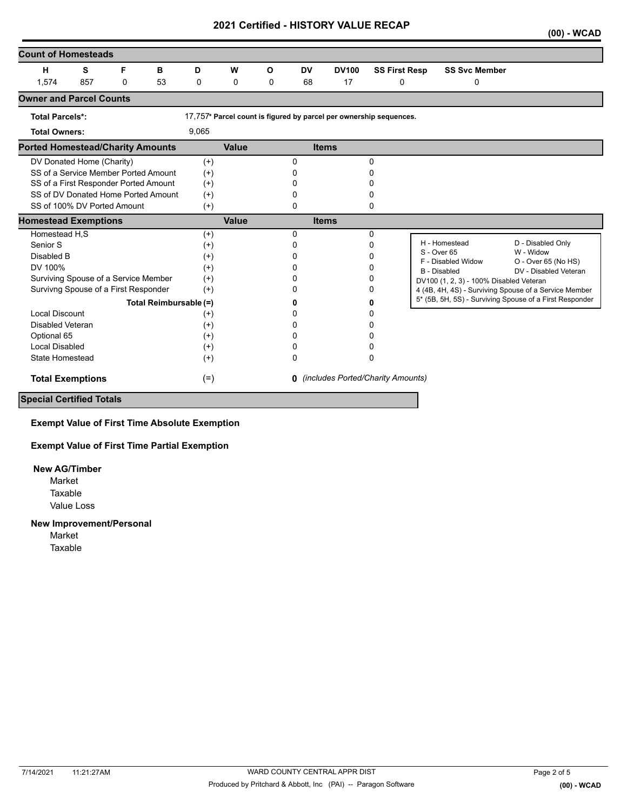## **2021 Certified - HISTORY VALUE RECAP**

|                                         |     |          |    |          |              |             |           |              |                                                                    |                                                         | $(00)$ - WCAD         |
|-----------------------------------------|-----|----------|----|----------|--------------|-------------|-----------|--------------|--------------------------------------------------------------------|---------------------------------------------------------|-----------------------|
| <b>Count of Homesteads</b>              |     |          |    |          |              |             |           |              |                                                                    |                                                         |                       |
| н                                       | s   | F        | в  | D        | W            | Ο           | <b>DV</b> | <b>DV100</b> | <b>SS First Resp</b>                                               | <b>SS Svc Member</b>                                    |                       |
| 1,574                                   | 857 | $\Omega$ | 53 | 0        | $\mathbf 0$  | $\mathbf 0$ | 68        | 17           | $\Omega$                                                           | 0                                                       |                       |
| <b>Owner and Parcel Counts</b>          |     |          |    |          |              |             |           |              |                                                                    |                                                         |                       |
| <b>Total Parcels*:</b>                  |     |          |    |          |              |             |           |              | 17,757* Parcel count is figured by parcel per ownership sequences. |                                                         |                       |
| <b>Total Owners:</b>                    |     |          |    | 9,065    |              |             |           |              |                                                                    |                                                         |                       |
| <b>Ported Homestead/Charity Amounts</b> |     |          |    |          | <b>Value</b> |             |           | <b>Items</b> |                                                                    |                                                         |                       |
| DV Donated Home (Charity)               |     |          |    | $(+)$    |              |             | 0         |              | 0                                                                  |                                                         |                       |
| SS of a Service Member Ported Amount    |     |          |    | $^{(+)}$ |              |             | 0         |              | 0                                                                  |                                                         |                       |
| SS of a First Responder Ported Amount   |     |          |    | $^{(+)}$ |              |             | 0         |              |                                                                    |                                                         |                       |
| SS of DV Donated Home Ported Amount     |     |          |    | $^{(+)}$ |              |             | 0         |              | 0                                                                  |                                                         |                       |
| SS of 100% DV Ported Amount             |     |          |    | $^{(+)}$ |              |             | 0         |              | 0                                                                  |                                                         |                       |
| <b>Homestead Exemptions</b>             |     |          |    |          | <b>Value</b> |             |           | <b>Items</b> |                                                                    |                                                         |                       |
| Homestead H,S                           |     |          |    | $(+)$    |              |             | $\Omega$  |              | $\Omega$                                                           |                                                         |                       |
| Senior S                                |     |          |    | $^{(+)}$ |              |             | 0         |              | 0                                                                  | H - Homestead<br>W - Widow<br>S - Over 65               | D - Disabled Only     |
| Disabled B                              |     |          |    | $^{(+)}$ |              |             | 0         |              | 0                                                                  | F - Disabled Widow                                      | O - Over 65 (No HS)   |
| DV 100%                                 |     |          |    | $^{(+)}$ |              |             | 0         |              | 0                                                                  | <b>B</b> - Disabled                                     | DV - Disabled Veteran |
| Surviving Spouse of a Service Member    |     |          |    | $^{(+)}$ |              |             | 0         |              | 0                                                                  | DV100 (1, 2, 3) - 100% Disabled Veteran                 |                       |
| Survivng Spouse of a First Responder    |     |          |    | $(+)$    |              |             | 0         |              | 0                                                                  | 4 (4B, 4H, 4S) - Surviving Spouse of a Service Member   |                       |
| Total Reimbursable (=)                  |     |          |    |          |              |             | n         |              | 0                                                                  | 5* (5B, 5H, 5S) - Surviving Spouse of a First Responder |                       |
| <b>Local Discount</b>                   |     |          |    | $^{(+)}$ |              |             | 0         |              | 0                                                                  |                                                         |                       |
| Disabled Veteran                        |     |          |    | $^{(+)}$ |              |             | 0         |              | 0                                                                  |                                                         |                       |
| Optional 65                             |     |          |    | $^{(+)}$ |              |             | 0         |              |                                                                    |                                                         |                       |
| Local Disabled                          |     |          |    | $^{(+)}$ |              |             | 0         |              | 0                                                                  |                                                         |                       |
| <b>State Homestead</b>                  |     |          |    | $^{(+)}$ |              |             | 0         |              | 0                                                                  |                                                         |                       |
| <b>Total Exemptions</b>                 |     |          |    | $(=)$    |              |             |           |              | <b>0</b> (includes Ported/Charity Amounts)                         |                                                         |                       |
| <b>Special Certified Totals</b>         |     |          |    |          |              |             |           |              |                                                                    |                                                         |                       |

**Exempt Value of First Time Absolute Exemption**

**Exempt Value of First Time Partial Exemption**

#### **New AG/Timber**

Value Loss Market Taxable

#### **New Improvement/Personal**

Market Taxable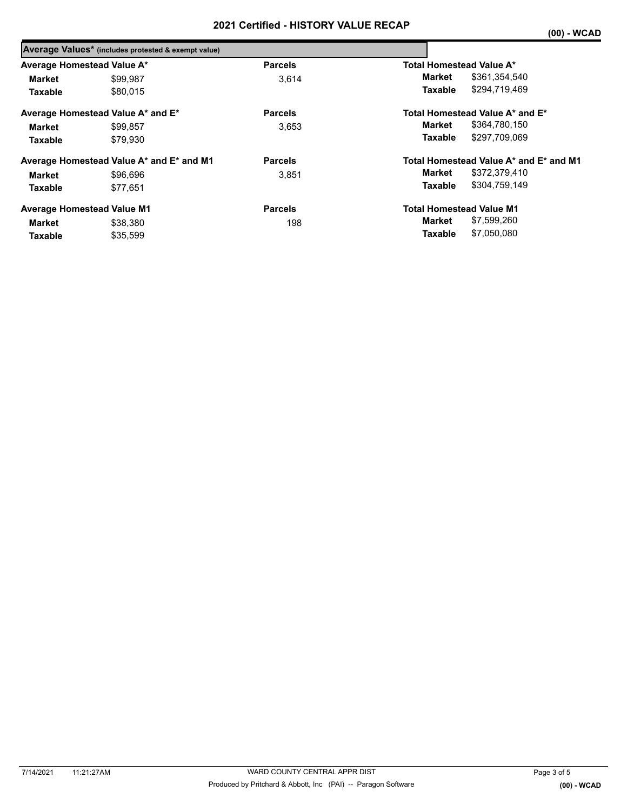|                            | Average Values* (includes protested & exempt value) |                |                                        |  |  |  |  |
|----------------------------|-----------------------------------------------------|----------------|----------------------------------------|--|--|--|--|
| Average Homestead Value A* |                                                     | <b>Parcels</b> | Total Homestead Value A*               |  |  |  |  |
| <b>Market</b>              | \$99,987                                            | 3.614          | \$361,354,540<br>Market                |  |  |  |  |
| <b>Taxable</b>             | \$80.015                                            |                | \$294,719,469<br>Taxable               |  |  |  |  |
|                            | Average Homestead Value A* and E*                   | <b>Parcels</b> | Total Homestead Value A* and E*        |  |  |  |  |
| <b>Market</b>              | \$99.857                                            | 3.653          | \$364,780,150<br>Market                |  |  |  |  |
| <b>Taxable</b>             | \$79.930                                            |                | \$297.709.069<br>Taxable               |  |  |  |  |
|                            | Average Homestead Value A* and E* and M1            | <b>Parcels</b> | Total Homestead Value A* and E* and M1 |  |  |  |  |
| <b>Market</b>              | \$96,696                                            | 3.851          | \$372,379,410<br>Market                |  |  |  |  |
| <b>Taxable</b>             | \$77.651                                            |                | \$304,759,149<br>Taxable               |  |  |  |  |
|                            | <b>Average Homestead Value M1</b>                   | <b>Parcels</b> | <b>Total Homestead Value M1</b>        |  |  |  |  |
| Market                     | \$38,380                                            | 198            | \$7,599,260<br>Market                  |  |  |  |  |
| Taxable                    | \$35,599                                            |                | \$7.050.080<br>Taxable                 |  |  |  |  |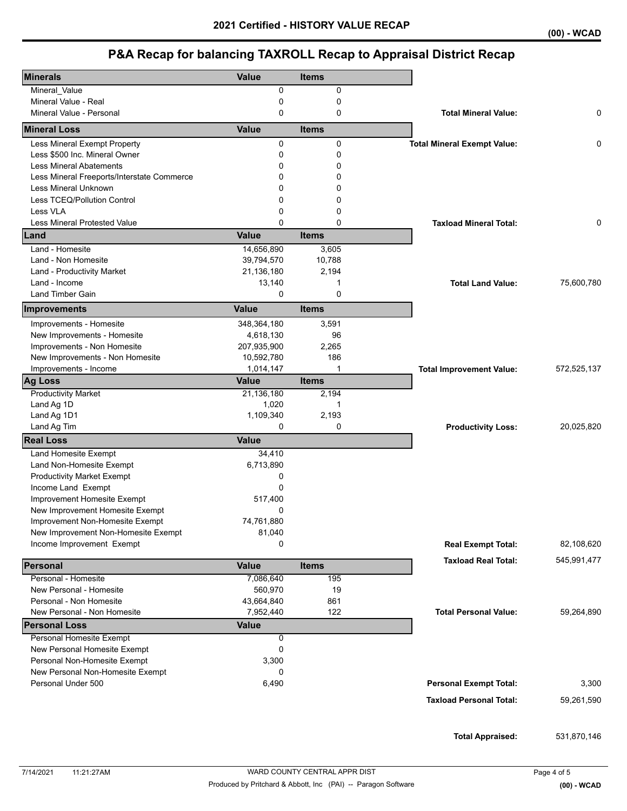# **P&A Recap for balancing TAXROLL Recap to Appraisal District Recap**

| <b>Minerals</b>                            | <b>Value</b> | <b>Items</b> |                                    |             |
|--------------------------------------------|--------------|--------------|------------------------------------|-------------|
| Mineral_Value                              | 0            | 0            |                                    |             |
| Mineral Value - Real                       | $\mathbf 0$  | 0            |                                    |             |
| Mineral Value - Personal                   | $\mathbf 0$  | 0            | <b>Total Mineral Value:</b>        | 0           |
| <b>Mineral Loss</b>                        | <b>Value</b> | <b>Items</b> |                                    |             |
| Less Mineral Exempt Property               | 0            | 0            | <b>Total Mineral Exempt Value:</b> | 0           |
| Less \$500 Inc. Mineral Owner              | 0            | 0            |                                    |             |
| <b>Less Mineral Abatements</b>             | 0            | 0            |                                    |             |
| Less Mineral Freeports/Interstate Commerce | 0            | 0            |                                    |             |
| Less Mineral Unknown                       | 0            | 0            |                                    |             |
| Less TCEQ/Pollution Control                | 0            | 0            |                                    |             |
| Less VLA                                   | 0            | 0            |                                    |             |
| <b>Less Mineral Protested Value</b>        | 0            | $\Omega$     | <b>Taxload Mineral Total:</b>      | 0           |
| Land                                       | <b>Value</b> | <b>Items</b> |                                    |             |
| Land - Homesite                            | 14,656,890   | 3,605        |                                    |             |
| Land - Non Homesite                        | 39,794,570   | 10,788       |                                    |             |
| Land - Productivity Market                 | 21,136,180   | 2,194        |                                    |             |
| Land - Income                              | 13,140       | 1            | <b>Total Land Value:</b>           | 75,600,780  |
| Land Timber Gain                           | $\mathbf 0$  | $\mathbf 0$  |                                    |             |
| Improvements                               | <b>Value</b> | <b>Items</b> |                                    |             |
| Improvements - Homesite                    | 348,364,180  | 3,591        |                                    |             |
| New Improvements - Homesite                | 4,618,130    | 96           |                                    |             |
| Improvements - Non Homesite                | 207,935,900  | 2,265        |                                    |             |
| New Improvements - Non Homesite            | 10,592,780   | 186          |                                    |             |
| Improvements - Income                      | 1,014,147    | 1            | <b>Total Improvement Value:</b>    | 572,525,137 |
| <b>Ag Loss</b>                             | <b>Value</b> | <b>Items</b> |                                    |             |
| <b>Productivity Market</b>                 | 21,136,180   | 2,194        |                                    |             |
| Land Ag 1D                                 | 1,020        | $\mathbf{1}$ |                                    |             |
| Land Ag 1D1                                | 1,109,340    | 2,193        |                                    |             |
| Land Ag Tim                                | $\Omega$     | 0            | <b>Productivity Loss:</b>          | 20,025,820  |
| <b>Real Loss</b>                           | <b>Value</b> |              |                                    |             |
| Land Homesite Exempt                       | 34,410       |              |                                    |             |
| Land Non-Homesite Exempt                   | 6,713,890    |              |                                    |             |
| <b>Productivity Market Exempt</b>          | 0            |              |                                    |             |
| Income Land Exempt                         | 0            |              |                                    |             |
| Improvement Homesite Exempt                | 517,400      |              |                                    |             |
| New Improvement Homesite Exempt            | 0            |              |                                    |             |
| Improvement Non-Homesite Exempt            | 74,761,880   |              |                                    |             |
| New Improvement Non-Homesite Exempt        | 81,040       |              |                                    |             |
| Income Improvement Exempt                  | $\Omega$     |              | <b>Real Exempt Total:</b>          | 82,108,620  |
| Personal                                   | <b>Value</b> | <b>Items</b> | <b>Taxload Real Total:</b>         | 545,991,477 |
| Personal - Homesite                        | 7,086,640    | 195          |                                    |             |
| New Personal - Homesite                    | 560,970      | 19           |                                    |             |
| Personal - Non Homesite                    | 43,664,840   | 861          |                                    |             |
| New Personal - Non Homesite                | 7,952,440    | 122          | <b>Total Personal Value:</b>       | 59,264,890  |
| <b>Personal Loss</b>                       | <b>Value</b> |              |                                    |             |
| Personal Homesite Exempt                   | 0            |              |                                    |             |
| New Personal Homesite Exempt               | $\mathbf 0$  |              |                                    |             |
| Personal Non-Homesite Exempt               | 3,300        |              |                                    |             |
| New Personal Non-Homesite Exempt           | 0            |              |                                    |             |
| Personal Under 500                         | 6,490        |              | <b>Personal Exempt Total:</b>      | 3,300       |
|                                            |              |              |                                    |             |
|                                            |              |              | <b>Taxload Personal Total:</b>     | 59,261,590  |
|                                            |              |              |                                    |             |
|                                            |              |              | <b>Total Appraised:</b>            | 531,870,146 |